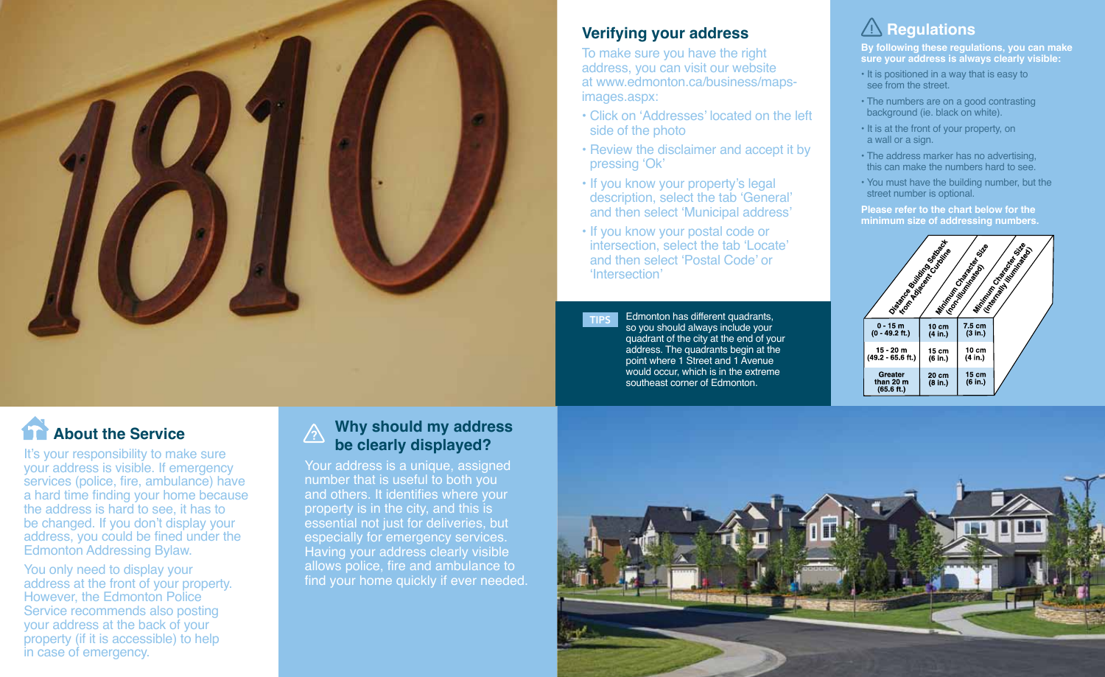

## **Verifying your address**

To make sure you have the right address, you can visit our website at www.edmonton.ca/business/mapsimages.aspx:

- Click on 'Addresses' located on the left side of the photo
- Review the disclaimer and accept it by pressing 'Ok'
- If you know your property's legal description, select the tab 'General' and then select 'Municipal address'
- If you know your postal code or intersection, select the tab 'Locate' and then select 'Postal Code' or 'Intersection'

**TIPS** Edmonton has different quadrants, so you should always include your quadrant of the city at the end of your address. The quadrants begin at the point where 1 Street and 1 Avenue would occur, which is in the extreme southeast corner of Edmonton.

## **A** Regulations

**By following these regulations, you can make sure your address is always clearly visible:**

- It is positioned in a way that is easy to see from the street.
- The numbers are on a good contrasting background (ie. black on white).
- It is at the front of your property, on a wall or a sign.
- The address marker has no advertising, this can make the numbers hard to see.
- You must have the building number, but the street number is optional.

**Please refer to the chart below for the minimum size of addressing numbers.** 



# **About the Service**

It's your responsibility to make sure your address is visible. If emergency services (police, fire, ambulance) have a hard time finding your home because the address is hard to see, it has to be changed. If you don't display your address, you could be fined under the Edmonton Addressing Bylaw.

You only need to display your address at the front of your property. However, the Edmonton Police Service recommends also posting your address at the back of your property (if it is accessible) to help in case of emergency.

#### **Why should my address be clearly displayed?**  $\bigwedge$

Your address is a unique, assigned number that is useful to both you and others. It identifies where your property is in the city, and this is essential not just for deliveries, but especially for emergency services. Having your address clearly visible allows police, fire and ambulance to find your home quickly if ever needed.